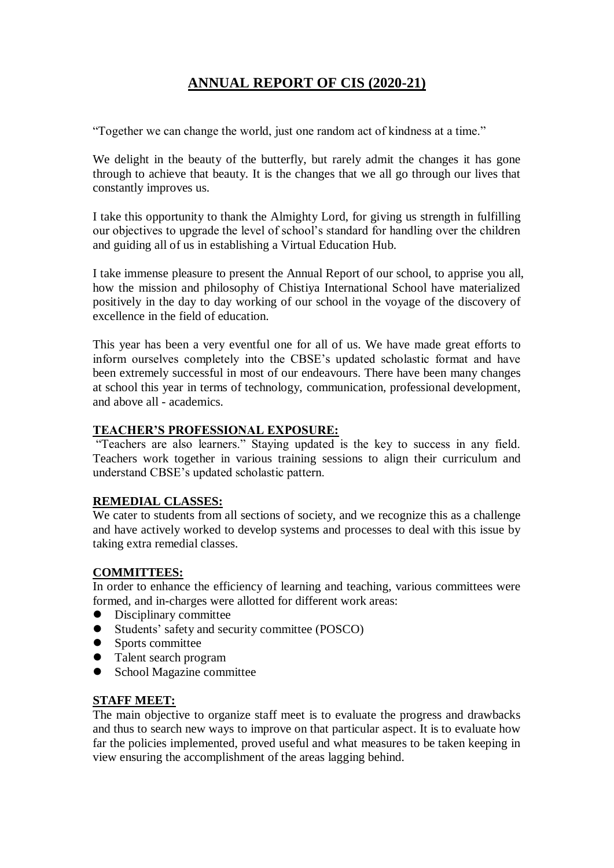# **ANNUAL REPORT OF CIS (2020-21)**

"Together we can change the world, just one random act of kindness at a time."

We delight in the beauty of the butterfly, but rarely admit the changes it has gone through to achieve that beauty. It is the changes that we all go through our lives that constantly improves us.

I take this opportunity to thank the Almighty Lord, for giving us strength in fulfilling our objectives to upgrade the level of school's standard for handling over the children and guiding all of us in establishing a Virtual Education Hub.

I take immense pleasure to present the Annual Report of our school, to apprise you all, how the mission and philosophy of Chistiya International School have materialized positively in the day to day working of our school in the voyage of the discovery of excellence in the field of education.

This year has been a very eventful one for all of us. We have made great efforts to inform ourselves completely into the CBSE's updated scholastic format and have been extremely successful in most of our endeavours. There have been many changes at school this year in terms of technology, communication, professional development, and above all - academics.

### **TEACHER'S PROFESSIONAL EXPOSURE:**

"Teachers are also learners." Staying updated is the key to success in any field. Teachers work together in various training sessions to align their curriculum and understand CBSE's updated scholastic pattern.

### **REMEDIAL CLASSES:**

We cater to students from all sections of society, and we recognize this as a challenge and have actively worked to develop systems and processes to deal with this issue by taking extra remedial classes.

### **COMMITTEES:**

In order to enhance the efficiency of learning and teaching, various committees were formed, and in-charges were allotted for different work areas:

- Disciplinary committee
- Students' safety and security committee (POSCO)
- Sports committee
- Talent search program
- School Magazine committee

### **STAFF MEET:**

The main objective to organize staff meet is to evaluate the progress and drawbacks and thus to search new ways to improve on that particular aspect. It is to evaluate how far the policies implemented, proved useful and what measures to be taken keeping in view ensuring the accomplishment of the areas lagging behind.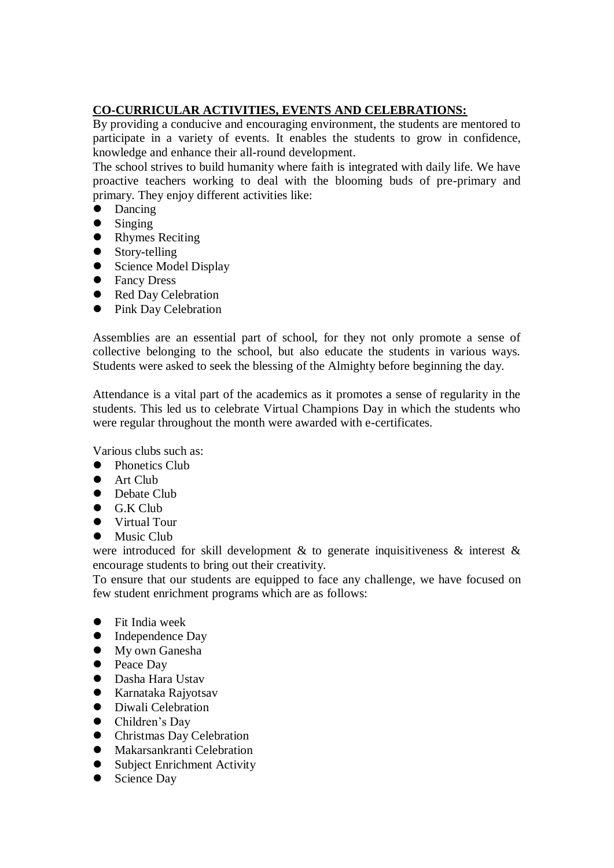## **CO-CURRICULAR ACTIVITIES, EVENTS AND CELEBRATIONS:**

By providing a conducive and encouraging environment, the students are mentored to participate in a variety of events. It enables the students to grow in confidence, knowledge and enhance their all-round development.

The school strives to build humanity where faith is integrated with daily life. We have proactive teachers working to deal with the blooming buds of pre-primary and primary. They enjoy different activities like:

- Dancing
- $\bullet$  Singing
- Rhymes Reciting
- Story-telling
- Science Model Display
- **•** Fancy Dress
- Red Day Celebration
- Pink Day Celebration

Assemblies are an essential part of school, for they not only promote a sense of collective belonging to the school, but also educate the students in various ways. Students were asked to seek the blessing of the Almighty before beginning the day.

Attendance is a vital part of the academics as it promotes a sense of regularity in the students. This led us to celebrate Virtual Champions Day in which the students who were regular throughout the month were awarded with e-certificates.

Various clubs such as:

- Phonetics Club
- Art Club
- Debate Club
- $\bullet$  G.K Club
- Virtual Tour
- Music Club

were introduced for skill development & to generate inquisitiveness & interest & encourage students to bring out their creativity.

To ensure that our students are equipped to face any challenge, we have focused on few student enrichment programs which are as follows:

- Fit India week
- Independence Day
- $\bullet$  My own Ganesha
- Peace Day
- Dasha Hara Ustav
- Karnataka Rajyotsav
- Diwali Celebration
- Children's Day
- **•** Christmas Day Celebration
- Makarsankranti Celebration
- Subject Enrichment Activity
- Science Day